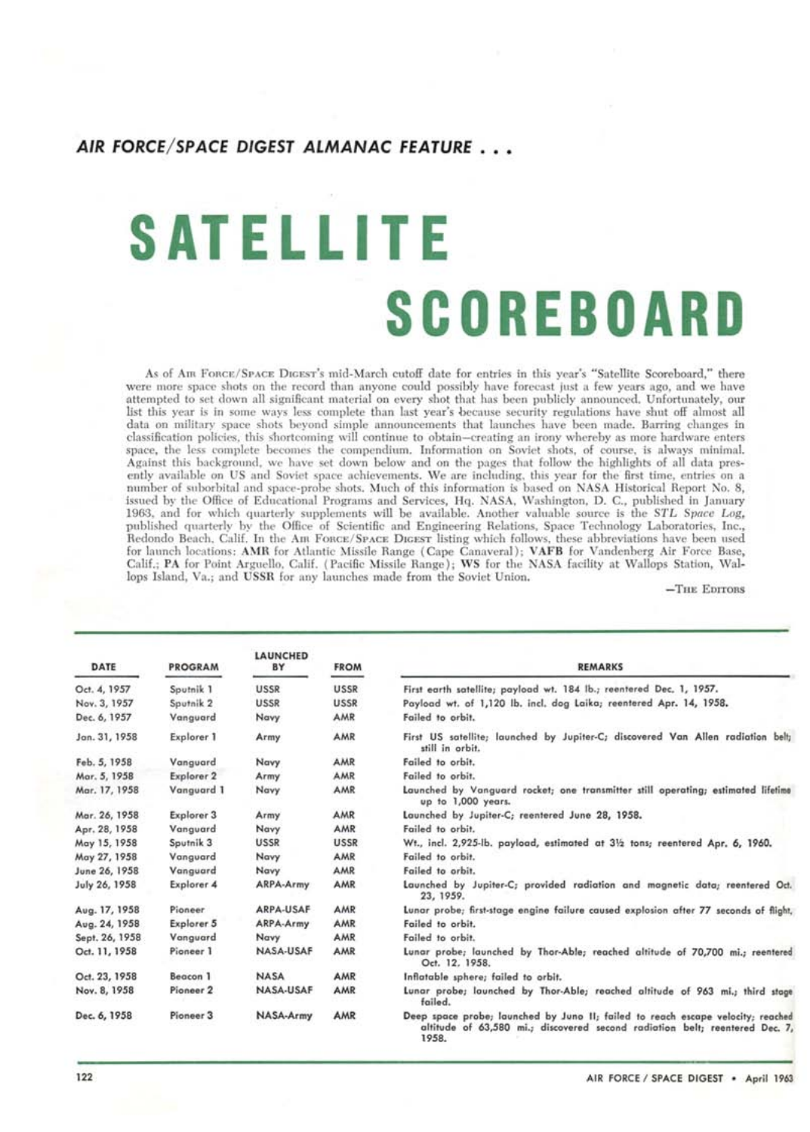#### **AIR FORCE/SPACE DIGEST ALMANAC FEATURE . . .**

# **SATELLITE SCOREBOARD**

As of Am **FORCE/SPACE DIGEST'S** mid-March cutoff date for entries in this year's "Satellite Scoreboard," there were more space shots on the record than anyone could possibly have forecast just a few years ago, and we have attempted to set down all significant material on every shot that has been publicly announced. Unfortunately, our list this year is in some ways less complete than last year's because security regulations have shut off almost all data on military space shots beyond simple announcements that launches have been made. Barring changes in classification policies, this shortcoming will continue to obtain—creating an irony whereby as more hardware enters space, the less complete becomes the compendium. Information on Soviet shots, of course, is always minimal. Against this background, we have set down below and on the pages that follow the highlights of all data presently available on US and Soviet space achievements. We are including, this year for the first time, entries on a number of suborbital and space-probe shots. Much of this information is based on NASA Historical Report No. 8, issued by the Office of Educational Programs and Services, Hq. NASA, Washington, **D.** C., published in January 1963, and for which quarterly supplements will be available. Another valuable source is the *STL Space Log,*  published quarterly by the Office of Scientific and Engineering Relations, Space Technology Laboratories, Inc., Redondo Beach, Calif. In the Ara **FORCE/ SPACE DIGEST** listing which follows, these abbreviations have been used for launch locations: **AMR** for Atlantic Missile Range (Cape Canaveral); **VAFB** for Vandenberg Air Force Base, Calif.; **PA** for Point Arguello, Calif. (Pacific Missile Range); WS for the NASA facility at Wallops Station, Wallops Island, Va.; and **USSR** for any launches made from the Soviet Union.

**—THE EDITORS** 

| DATE           | <b>PROGRAM</b>       | <b>LAUNCHED</b><br>BY | <b>FROM</b> | <b>REMARKS</b>                                                                                                                                                          |
|----------------|----------------------|-----------------------|-------------|-------------------------------------------------------------------------------------------------------------------------------------------------------------------------|
| Oct. 4, 1957   | Sputnik 1            | <b>USSR</b>           | USSR        | First earth satellite; payload wt. 184 lb.; reentered Dec. 1, 1957.                                                                                                     |
| Nov. 3, 1957   | Sputnik <sub>2</sub> | <b>USSR</b>           | <b>USSR</b> | Payload wt. of 1,120 lb. incl. dog Laika; reentered Apr. 14, 1958.                                                                                                      |
| Dec. 6, 1957   | Vanguard             | Navy                  | AMR         | Failed to orbit.                                                                                                                                                        |
| Jan. 31, 1958  | Explorer 1           | Army                  | AMR         | First US satellite; launched by Jupiter-C; discovered Van Allen radiation belt;<br>still in orbit.                                                                      |
| Feb. 5, 1958   | Vanguard             | Navy                  | AMR         | Failed to orbit.                                                                                                                                                        |
| Mar. 5, 1958   | Explorer 2           | Army                  | AMR         | Failed to orbit.                                                                                                                                                        |
| Mar. 17, 1958  | Vanguard 1           | Navy                  | AMR         | Launched by Vanguard rocket; one transmitter still operating; estimated lifetime<br>up to 1,000 years.                                                                  |
| Mar. 26, 1958  | Explorer 3           | Army                  | AMR         | Launched by Jupiter-C; reentered June 28, 1958.                                                                                                                         |
| Apr. 28, 1958  | Vanguard             | Navy                  | AMR         | Failed to orbit.                                                                                                                                                        |
| May 15, 1958   | Sputnik 3            | <b>USSR</b>           | <b>USSR</b> | Wt., incl. 2,925-lb. payload, estimated at 31/2 tons; reentered Apr. 6, 1960.                                                                                           |
| May 27, 1958   | Vanguard             | Navy                  | AMR         | Failed to orbit.                                                                                                                                                        |
| June 26, 1958  | Vanauard             | Navy                  | AMR         | Failed to orbit.                                                                                                                                                        |
| July 26, 1958  | Explorer 4           | ARPA-Army             | AMR         | Launched by Jupiter-C; provided radiation and magnetic data; reentered Oct.<br>23, 1959.                                                                                |
| Aug. 17, 1958  | Pioneer              | ARPA-USAF             | AMR         | Lunar probe: first-stage engine failure caused explosion after 77 seconds of flight.                                                                                    |
| Aug. 24, 1958  | Explorer 5           | ARPA-Army             | AMR         | Failed to orbit.                                                                                                                                                        |
| Sept. 26, 1958 | Vanguard             | Navy                  | AMR         | Failed to orbit.                                                                                                                                                        |
| Oct. 11, 1958  | Pioneer 1            | NASA-USAF             | AMR         | Lunar probe; launched by Thor-Able; reached altitude of 70,700 mi.; reentered<br>Oct. 12, 1958.                                                                         |
| Oct. 23, 1958  | Beacon 1             | <b>NASA</b>           | AMR         | Inflatable sphere; failed to orbit.                                                                                                                                     |
| Nov. 8, 1958   | Pioneer <sub>2</sub> | NASA-USAF             | AMR         | Lunar probe; launched by Thor-Able; reached altitude of 963 mi.; third stage<br>failed.                                                                                 |
| Dec. 6, 1958   | Pioneer <sub>3</sub> | NASA-Army             | AMR         | Deep space probe; launched by Juno II; failed to reach escape velocity; reached<br>altitude of 63,580 mi.; discovered second radiation belt; reentered Dec. 7,<br>1958. |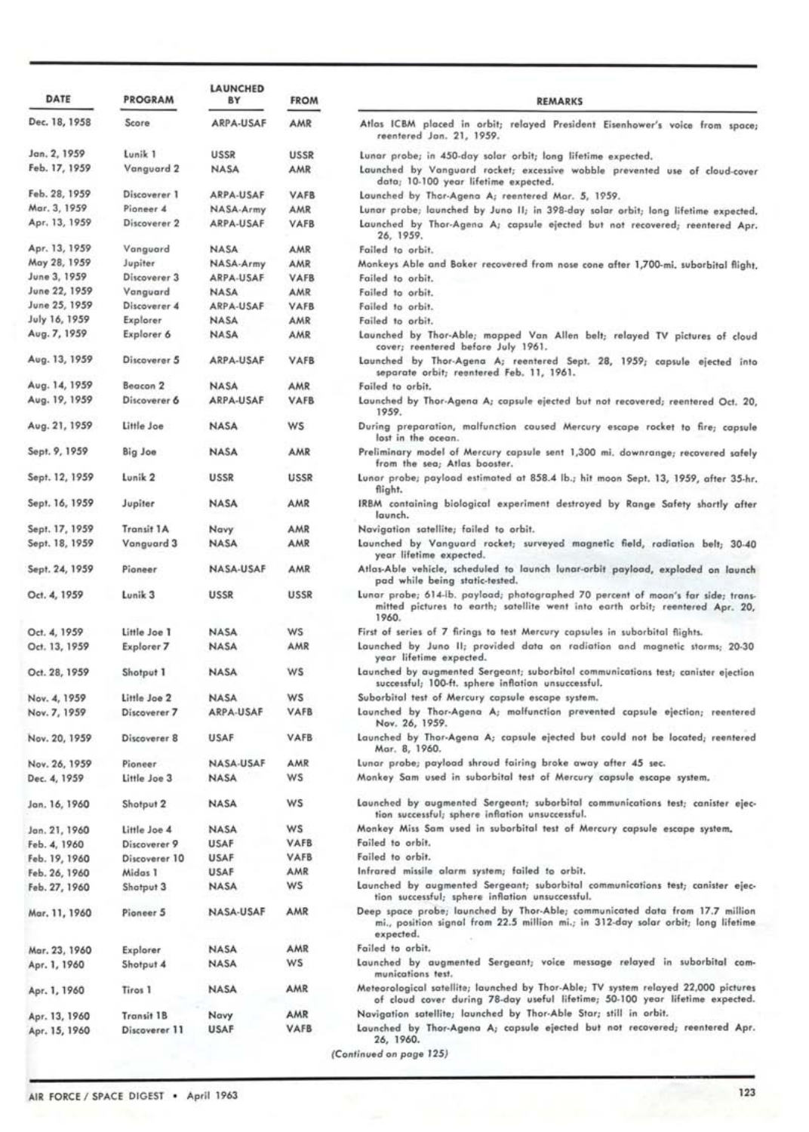| DATE                          | <b>PROGRAM</b>        | LAUNCHED<br>BY | <b>FROM</b>        | <b>REMARKS</b>                                                                                                                                                                     |
|-------------------------------|-----------------------|----------------|--------------------|------------------------------------------------------------------------------------------------------------------------------------------------------------------------------------|
| Dec. 18, 1958                 | Score                 | ARPA-USAF      | AMR                | Atlas ICBM placed in orbit; relayed President Eisenhower's voice from space;                                                                                                       |
|                               |                       |                |                    | reentered Jan. 21, 1959.                                                                                                                                                           |
| Jan. 2, 1959<br>Feb. 17, 1959 | Lunik 1<br>Vanguard 2 | USSR<br>NASA   | <b>USSR</b><br>AMR | Lunar probe; in 450-day solar orbit; long lifetime expected.<br>Launched by Vanguard rocket; excessive wobble prevented use of cloud-cover<br>data; 10-100 year lifetime expected. |
| Feb. 28, 1959                 | Discoverer 1          | ARPA-USAF      | VAFB               | Launched by Thar-Agena A; reentered Mar. 5, 1959.                                                                                                                                  |
| Mar. 3, 1959                  | Pioneer 4             | NASA-Army      | AMR                | Lunar probe; launched by Juno II; in 398-day solar orbit; long lifetime expected.                                                                                                  |
| Apr. 13, 1959                 | Discoverer 2          | ARPA-USAF      | <b>VAFB</b>        | Launched by Thor-Agena A; capsule ejected but not recovered; reentered Apr.<br>26, 1959.                                                                                           |
| Apr. 13, 1959                 | Vanguard              | <b>NASA</b>    | AMR                | Failed to orbit.                                                                                                                                                                   |
| May 28, 1959                  | Jupiter               | NASA-Army      | AMR                | Monkeys Able and Baker recovered from nose cone after 1,700-mi, suborbital flight,                                                                                                 |
| June 3, 1959                  | Discoverer 3          | ARPA-USAF      | VAFB               | Failed to orbit.                                                                                                                                                                   |
| June 22, 1959                 | Vanguard              | <b>NASA</b>    | AMR                | Failed to orbit.                                                                                                                                                                   |
| June 25, 1959                 | Discoverer 4          | ARPA-USAF      | VAFB               | Failed to orbit.                                                                                                                                                                   |
| July 16, 1959                 | Explorer              | <b>NASA</b>    | AMR                | Failed to orbit.                                                                                                                                                                   |
| Aug. 7, 1959                  | Explorer 6            | <b>NASA</b>    | AMR                | Launched by Thor-Able; mapped Van Allen belt; relayed TV pictures of cloud<br>cover; reentered before July 1961.                                                                   |
| Aug. 13, 1959                 | Discoverer 5          | ARPA-USAF      | <b>VAFB</b>        | Launched by Thor-Agena A; reentered Sept. 28, 1959; capsule ejected into<br>separate orbit; reentered Feb. 11, 1961.                                                               |
| Aug. 14, 1959                 | Beacon <sub>2</sub>   | <b>NASA</b>    | AMR                | Failed to orbit.                                                                                                                                                                   |
| Aug. 19, 1959                 | Discoverer 6          | ARPA-USAF      | VAFB               | Launched by Thor-Agena A; capsule ejected but not recovered; reentered Oct. 20,<br>1959.                                                                                           |
| Aug. 21, 1959                 | Little Joe            | <b>NASA</b>    | WS.                | During preparation, malfunction caused Mercury escape rocket to fire; capsule<br>lost in the ocean.                                                                                |
| Sept. 9, 1959                 | Big Joe               | <b>NASA</b>    | AMR                | Preliminary model of Mercury capsule sent 1,300 mi. downrange; recovered safely<br>from the sea; Atlas booster.                                                                    |
| Sept. 12, 1959                | Lunik <sub>2</sub>    | <b>USSR</b>    | <b>USSR</b>        | Lunar probe; payload estimated at 858.4 lb.; hit moon Sept. 13, 1959, after 35-hr.<br>flight.                                                                                      |
| Sept. 16, 1959                | Jupiter               | <b>NASA</b>    | AMR                | IRBM containing biological experiment destroyed by Range Safety shortly after<br>launch.                                                                                           |
| Sept. 17, 1959                | <b>Transit 1A</b>     | Navy           | AMR                | Navigation satellite; failed to orbit.                                                                                                                                             |
| Sept. 18, 1959                | Vanguard 3            | <b>NASA</b>    | AMR                | Launched by Vanguard rocket; surveyed magnetic field, radiation belt; 30-40<br>year lifetime expected.                                                                             |
| Sept. 24, 1959                | Pioneer               | NASA-USAF      | AMR                | Atlas-Able vehicle, scheduled to launch lunar-orbit payload, exploded on launch<br>pad while being static-tested.                                                                  |
| Oct. 4, 1959                  | Lunik <sub>3</sub>    | <b>USSR</b>    | <b>USSR</b>        | Lunar probe; 614-ib. payload; photographed 70 percent of moon's far side; trans-<br>mitted pictures to earth; satellite went into earth orbit; reentered Apr. 20,<br>1960.         |
| Oct. 4, 1959                  | Little Joe 1          | <b>NASA</b>    | <b>WS</b>          | First of series of 7 firings to test Mercury capsules in suborbital flights.                                                                                                       |
| Oct. 13, 1959                 | Explorer 7            | <b>NASA</b>    | AMR                | Launched by Juno II; provided data on radiation and magnetic starms; 20-30<br>year lifetime expected.                                                                              |
| Oct. 28, 1959                 | Shotput 1             | <b>NASA</b>    | <b>WS</b>          | Launched by augmented Sergeant; suborbital communications test; canister ejection<br>successful; 100-ft. sphere inflation unsuccessful.                                            |
| Nov. 4, 1959                  | Little Joe 2          | <b>NASA</b>    | <b>WS</b>          | Suborbital test of Mercury capsule escape system.                                                                                                                                  |
| Nov. 7, 1959                  | Discoverer 7          | ARPA-USAF      | VAFB               | Launched by Thor-Agena A; malfunction prevented capsule ejection; reentered<br>Nov. 26, 1959.                                                                                      |
| Nov. 20, 1959                 | Discoverer 8          | <b>USAF</b>    | VAFB               | Launched by Thor-Agena A; capsule ejected but could not be located; reentered<br>Mar. 8, 1960.                                                                                     |
| Nov. 26, 1959                 | Pioneer               | NASA-USAF      | AMR                | Lunar probe; payload shroud fairing broke away after 45 sec.                                                                                                                       |
| Dec. 4, 1959                  | Little Joe 3          | <b>NASA</b>    | ws                 | Monkey Sam used in suborbital test of Mercury capsule escape system.                                                                                                               |
| Jan. 16, 1960                 | Shotput 2             | <b>NASA</b>    | ws                 | Launched by augmented Sergeant; subarbital communications test; canister ejec-<br>tion successful; sphere inflation unsuccessful.                                                  |
| Jan. 21, 1960                 | Little Joe 4          | <b>NASA</b>    | ws                 | Monkey Miss Sam used in suborbital test of Mercury capsule escape system.                                                                                                          |
| Feb. 4, 1960                  | Discoverer 9          | <b>USAF</b>    | VAFB               | Failed to orbit.                                                                                                                                                                   |
| Feb. 19, 1960                 | Discoverer 10         | <b>USAF</b>    | VAFB               | Failed to orbit.                                                                                                                                                                   |
| Feb. 26, 1960                 | Midas I               | <b>USAF</b>    | AMR                | Infrared missile alarm system; failed to orbit.                                                                                                                                    |
| Feb. 27, 1960                 | Shotput 3             | <b>NASA</b>    | ws                 | Launched by augmented Sergeant; suborbital communications test; canister ejec-<br>tion successful; sphere inflation unsuccessful.                                                  |
| Mar. 11, 1960                 | Pioneer 5             | NASA-USAF      | AMR                | Deep space probe; launched by Thor-Able; communicated data from 17.7 million<br>mi., position signal from 22.5 million mi.; in 312-day solar orbit; long lifetime<br>expected.     |
| Mar. 23, 1960                 | Explorer              | <b>NASA</b>    | AMR                | Failed to orbit.                                                                                                                                                                   |
| Apr. 1, 1960                  | Shotput 4             | <b>NASA</b>    | ws                 | Launched by augmented Sergeant; voice message relayed in suborbital com-<br>munications test.                                                                                      |
| Apr. 1, 1960                  | Tiros 1               | <b>NASA</b>    | AMR                | Meteorological satellite; launched by Thor-Able; TV system relayed 22,000 pictures<br>of cloud cover during 78-day useful lifetime; 50-100 year lifetime expected.                 |
| Apr. 13, 1960                 | Transit 1B            | Navy           | AMR                | Navigation satellite; launched by Thor-Able Star; still in orbit.                                                                                                                  |
| Apr. 15, 1960                 | Discoverer 11         | <b>USAF</b>    | VAFB               | Launched by Thor-Agena A; capsule ejected but not recovered; reentered Apr.<br>26, 1960.                                                                                           |
|                               |                       |                |                    | (Continued on page 125)                                                                                                                                                            |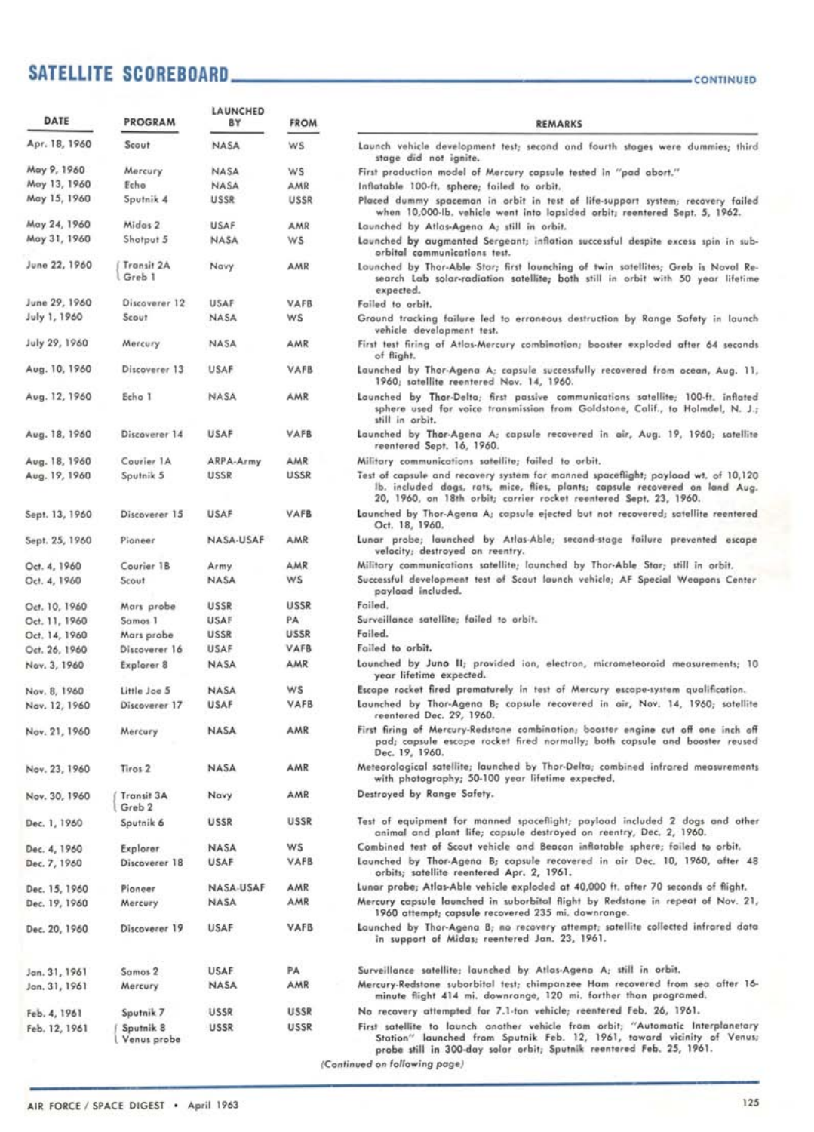# SATELLITE SCOREBOARD **\_\_\_\_\_\_\_\_\_\_\_\_\_\_\_\_\_\_\_\_\_\_\_\_\_\_\_\_\_\_\_\_**

| DATE           | <b>PROGRAM</b>           | LAUNCHED<br>8Y | <b>FROM</b> | <b>REMA</b>                                                                                                                     |
|----------------|--------------------------|----------------|-------------|---------------------------------------------------------------------------------------------------------------------------------|
| Apr. 18, 1960  | Scout                    | <b>NASA</b>    | <b>WS</b>   | Launch vehicle development test; second<br>stage did not ignite.                                                                |
| May 9, 1960    | Mercury                  | NASA           | ws          | First production model of Mercury capsule                                                                                       |
| May 13, 1960   | Echo                     | NASA           | AMR         | Inflatable 100-ft. sphere; failed to orbit.                                                                                     |
| May 15, 1960   | Sputnik 4                | <b>USSR</b>    | <b>USSR</b> | Placed dummy spaceman in orbit in test<br>when 10,000-lb, vehicle went into lop:                                                |
| May 24, 1960   | Midas 2                  | <b>USAF</b>    | AMR         | Launched by Atlas-Agena A; still in orbit                                                                                       |
| May 31, 1960   | Shotput 5                | NASA           | ws          | Launched by augmented Sergeant; inflatio<br>orbital communications test.                                                        |
| June 22, 1960  | Transit 2A<br>Greb 1     | Navy           | AMR         | Launched by Thor-Able Star; first launchir<br>search Lab solar-radiation satellite; b<br>expected.                              |
| June 29, 1960  | Discoverer 12            | USAF           | VAFB        | Failed to orbit.                                                                                                                |
| July 1, 1960   | Scout                    | <b>NASA</b>    | ws          | Ground tracking failure led to erroneous<br>vehicle development test.                                                           |
| July 29, 1960  | Mercury                  | NASA           | AMR         | First test firing of Atlas-Mercury combinat<br>of flight.                                                                       |
| Aug. 10, 1960  | Discoverer 13            | USAF           | VAFB        | Launched by Thor-Agena A; capsule succe<br>1960; satellite reentered Nov. 14, 196                                               |
| Aug. 12, 1960  | Echo 1                   | NASA           | AMR.        | Launched by Thor-Delta; first passive co<br>sphere used for voice transmission fro<br>still in orbit.                           |
| Aug. 18, 1960  | Discoverer 14            | USAF           | <b>VAFB</b> | Launched by Thor-Agena A; capsula reco<br>reentered Sept. 16, 1960.                                                             |
| Aug. 18, 1960  | Courier 1A               | ARPA-Army      | AMR         | Military communications satellite; failed t                                                                                     |
| Aug. 19, 1960  | Sputnik 5                | USSR           | USSR        | Test of capsule and recovery system for mo<br>lb, included dogs, rats, mice, flies, p<br>20, 1960, on 18th orbit; carrier rocke |
| Sept. 13, 1960 | Discoverer 15            | <b>USAF</b>    | VAFB        | Launched by Thor-Agena A; capsule ejecte<br>Oct. 18, 1960.                                                                      |
| Sept. 25, 1960 | Pioneer                  | NASA-USAF      | AMR         | Lunar probe; launched by Atlas-Able;<br>velocity; destroyed on reentry.                                                         |
| Oct. 4, 1960   | Courier 1B               | Army           | AMR         | Military communications satellite; launcher                                                                                     |
| Oct. 4, 1960   | Scout                    | <b>NASA</b>    | ws          | Successful development test of Scout laun<br>payload included.                                                                  |
| Oct. 10, 1960  | Mars probe               | USSR           | USSR        | Failed.                                                                                                                         |
| Oct. 11, 1960  | Samos 1                  | USAF           | PA:         | Surveillance satellite; failed to orbit.                                                                                        |
| Oct. 14, 1960  | Mars probe               | USSR           | <b>USSR</b> | Failed.                                                                                                                         |
| Oct. 26, 1960  | Discoverer 16            | USAF           | VAFB        | Failed to orbit.                                                                                                                |
| Nov. 3, 1960   | Explorer 8               | <b>NASA</b>    | AMR         | Launched by Juno II; provided ion, elec<br>year lifetime expected.                                                              |
| Nov. 8, 1960   | Little Joe 5             | <b>NASA</b>    | WS          | Escape rocket fired prematurely in test of                                                                                      |
| Nov. 12, 1960  | Discoverer 17            | <b>USAF</b>    | VAFB        | Launched by Thor-Agena B; capsule reco<br>reentered Dec. 29, 1960.                                                              |
| Nov. 21, 1960  | Mercury                  | <b>NASA</b>    | AMR         | First firing of Mercury-Redstone combinati<br>pad; capsule escape rocket fired norr<br>Dec. 19, 1960,                           |
| Nov. 23, 1960  | Tiros <sub>2</sub>       | <b>NASA</b>    | AMR         | Meteorological satellite; launched by Thor<br>with photography; 50-100 year lifetime                                            |
| Nov. 30, 1960  | Transit 3A<br>Greb 2     | Navy           | AMR         | Destroyed by Range Safety.                                                                                                      |
| Dec. 1, 1960   | Sputnik 6                | <b>USSR</b>    | USSR        | Test of equipment for manned spacefligh<br>animal and plant life; capsule destroy                                               |
| Dec. 4, 1960   | <b>Explorer</b>          | NASA           | W5          | Combined test of Scout vehicle and Beac-                                                                                        |
| Dec. 7, 1960   | Discoverer 18            | <b>USAF</b>    | VAFB        | Launched by Thor-Agena B; capsule reco<br>orbits; satellite reentered Apr. 2, 196                                               |
| Dec. 15, 1960  | Pioneer                  | NASA-USAF      | AMR         | Lunar probe; Atlas-Able vehicle exploded a                                                                                      |
| Dec. 19, 1960  | Mercury                  | NASA           | AMR         | Mercury capsule launched in suborbital fl<br>1960 attempt; capsule recovered 235 m                                              |
| Dec. 20, 1960  | Discoverer 19            | USAF           | VAFB        | Launched by Thor-Agena B; no recovery a<br>in support of Midas; reentered Jan. 2                                                |
| Jan. 31, 1961  | Samos 2                  | <b>USAF</b>    | PA          | Surveillance satellite; launched by Atlas-                                                                                      |
| Jan. 31, 1961  | Mercury                  | <b>NASA</b>    | AMR         | Mercury-Redstone suborbital test; chimpar<br>minute flight 414 mi. downrange, 120                                               |
| Feb. 4, 1961   | Sputnik 7                | USSR           | <b>USSR</b> | No recovery attempted for 7.1-ton vehicle                                                                                       |
| Feb. 12, 1961  | Sputnik 8<br>Venus probe | USSR           | USSR        | First satellite to launch another vehicle<br>Station" launched from Sputnik Feb.                                                |

| CONTINUED |  |  |  |  |
|-----------|--|--|--|--|
|           |  |  |  |  |

| DATE           | <b>PROGRAM</b>           | LAUNCHED<br>BY | <b>FROM</b> | <b>REMARKS</b>                                                                                                                                                                                                                         |
|----------------|--------------------------|----------------|-------------|----------------------------------------------------------------------------------------------------------------------------------------------------------------------------------------------------------------------------------------|
| Apr. 18, 1960  | Scout                    | <b>NASA</b>    | W5          | Launch vehicle development test; second and fourth stages were dummies; third<br>stage did not ignite.                                                                                                                                 |
| May 9, 1960    | Mercury                  | <b>NASA</b>    | WS          | First production model of Mercury capsule tested in "pad abort."                                                                                                                                                                       |
| May 13, 1960   | Echo                     | <b>NASA</b>    | AMR         | Inflatable 100-ft. sphere; failed to orbit.                                                                                                                                                                                            |
| May 15, 1960   | Sputnik 4                | <b>USSR</b>    | <b>USSR</b> | Placed dummy spaceman in orbit in test of life-support system; recovery failed<br>when 10,000-lb, vehicle went into lopsided orbit; reentered Sept. 5, 1962.                                                                           |
| May 24, 1960   | Midas 2                  | USAF           | AMR         | Launched by Atlas-Agena A; still in orbit.                                                                                                                                                                                             |
| May 31, 1960   | Shotput 5                | NASA           | WS          | Launched by augmented Sergeant; inflation successful despite excess spin in sub-<br>orbital communications test.                                                                                                                       |
| June 22, 1960  | Transit 2A<br>Greb 1     | Navy           | AMR         | Launched by Thor-Able Star; first launching of twin satellites; Greb is Naval Re-<br>search Lab solar-radiation satellite; both still in orbit with 50 year lifetime<br>expected.                                                      |
| June 29, 1960  | Discoverer 12            | USAF           | VAFB        | Failed to orbit.                                                                                                                                                                                                                       |
| July 1, 1960   | Scout                    | <b>NASA</b>    | ws          | Ground tracking failure led to erroneous destruction by Range Safety in launch<br>vehicle development test.                                                                                                                            |
| July 29, 1960  | Mercury                  | <b>NASA</b>    | AMR         | First test firing of Atlas-Mercury combination; booster exploded after 64 seconds<br>of flight.                                                                                                                                        |
| Aug. 10, 1960  | Discoverer 13            | USAF           | VAFB        | Launched by Thor-Agena A: capsule successfully recovered from ocean, Aug. 11,<br>1960; satellite reentered Nov. 14, 1960.                                                                                                              |
| Aug. 12, 1960  | Echo 1                   | NASA           | <b>AMR</b>  | Launched by Thor-Delta; first passive communications satellite; 100-ft. inflated<br>sphere used for voice transmission from Goldstone, Calif., to Holmdel, N. J.;<br>still in orbit.                                                   |
| Aug. 18, 1960  | Discoverer 14            | <b>USAF</b>    | VAFB        | Launched by Thor-Agena A; capsula recovered in air, Aug. 19, 1960; satellite<br>reentered Sept. 16, 1960.                                                                                                                              |
| Aug. 18, 1960  | Courier 1A               | ARPA-Army      | AMR         | Military communications satellite; failed to orbit.                                                                                                                                                                                    |
| Aug. 19, 1960  | Sputnik 5                | USSR           | USSR        | Test of capsule and recovery system for manned spaceflight; payload wt. of 10,120<br>lb, included dogs, rats, mice, flies, plants; capsule recovered on land Aug.<br>20, 1960, on 18th orbit; carrier rocket reentered Sept. 23, 1960. |
| Sept. 13, 1960 | Discoverer 15            | <b>USAF</b>    | VAFB        | Launched by Thor-Agena A; capsule ejected but not recovered; satellite reentered<br>Oct. 18, 1960.                                                                                                                                     |
| Sept. 25, 1960 | Pioneer                  | NASA-USAF      | AMR         | Lunar probe; launched by Atlas-Able; second-stage failure prevented escape<br>velocity; destroyed on reentry.                                                                                                                          |
| Oct. 4, 1960   | Courier 1B               | Army           | AMR         | Military communications satellite; launched by Thor-Able Star; still in orbit.                                                                                                                                                         |
| Oct. 4, 1960   | Scout                    | NASA           | ws          | Successful development test of Scout launch vehicle; AF Special Weapons Center<br>payload included.                                                                                                                                    |
| Oct. 10, 1960  | Mars probe               | <b>USSR</b>    | USSR        | Failed.                                                                                                                                                                                                                                |
| Oct. 11, 1960  | Samos 1                  | USAF           | PA          | Surveillance satellite; failed to orbit.                                                                                                                                                                                               |
| Oct. 14, 1960  | Mars probe               | USSR           | <b>USSR</b> | Failed.                                                                                                                                                                                                                                |
| Oct. 26, 1960  | Discoverer 16            | USAF           | VAFB        | Failed to orbit.                                                                                                                                                                                                                       |
| Nov. 3, 1960   | Explorer 8               | <b>NASA</b>    | AMR         | Launched by Juno II; provided ion, electron, micrometeoroid measurements; 10<br>year lifetime expected.                                                                                                                                |
| Nov. 8, 1960   | Little Joe 5             | NASA           | WS          | Escape rocket fired prematurely in test of Mercury escape-system qualification.                                                                                                                                                        |
| Nov. 12, 1960  | Discoverer 17            | <b>USAF</b>    | VAFB        | Launched by Thor-Agena B; copsule recovered in air, Nov. 14, 1960; satellite<br>reentered Dec. 29, 1960.                                                                                                                               |
| Nov. 21, 1960  | Mercury                  | <b>NASA</b>    | AMR         | First firing of Mercury-Redstone combination; booster engine cut off one inch off<br>pad; capsule escape rocket fired normally; both capsule and booster reused<br>Dec. 19, 1960.                                                      |
| Nov. 23, 1960  | Tiros <sub>2</sub>       | <b>NASA</b>    | AMR         | Meteorological satellite; launched by Thor-Delta; combined infrared measurements<br>with photography; 50-100 year lifetime expected.                                                                                                   |
| Nov. 30, 1960  | Transit 3A<br>Greb 2     | Navy           | AMR         | Destroyed by Range Safety.                                                                                                                                                                                                             |
| Dec. 1, 1960   | Sputnik 6                | <b>USSR</b>    | USSR        | Test of equipment for manned spaceflight; payload included 2 dogs and other<br>animal and plant life; capsule destroyed on reentry, Dec. 2, 1960.                                                                                      |
| Dec. 4, 1960   | <b>Explorer</b>          | NASA           | W5          | Combined test of Scout vehicle and Beacon inflatable sphere; failed to orbit.                                                                                                                                                          |
| Dec. 7, 1960   | Discoverer 18            | <b>USAF</b>    | VAFB        | Launched by Thor-Agena B; capsule recovered in air Dec. 10, 1960, after 48<br>orbits; satellite reentered Apr. 2, 1961.                                                                                                                |
| Dec. 15, 1960  | Pioneer                  | NASA-USAF      | AMR         | Lunar probe; Atlas-Able vehicle exploded at 40,000 ft. after 70 seconds of flight.                                                                                                                                                     |
| Dec. 19, 1960  | Mercury                  | NASA           | AMR         | Mercury capsule launched in suborbital flight by Redstone in repeat of Nov. 21,<br>1960 attempt; capsule recovered 235 mi. downrange.                                                                                                  |
| Dec. 20, 1960  | Discoverer 19            | USAF           | VAFB        | Launched by Thor-Agena B; no recovery attempt; satellite collected infrared data<br>in support of Midas; reentered Jan. 23, 1961.                                                                                                      |
| Jan. 31, 1961  | Samos 2                  | <b>USAF</b>    | PA          | Surveillance satellite; launched by Atlas-Agena A; still in orbit.                                                                                                                                                                     |
| Jan. 31, 1961  | Mercury                  | NASA           | AMR         | Mercury-Redstone suborbital test; chimpanzee Ham recovered from sea after 16-<br>minute flight 414 mi. downrange, 120 mi. farther than programed.                                                                                      |
| Feb. 4, 1961   | Sputnik 7                | USSR           | <b>USSR</b> | No recovery attempted for 7.1-ton vehicle; reentered Feb. 26, 1961.                                                                                                                                                                    |
| Feb. 12, 1961  | Sputnik 8<br>Venus probe | USSR           | <b>USSR</b> | First satellite to launch another vehicle from orbit; "Automatic Interplanetary<br>Station" launched from Sputnik Feb. 12, 1961, toward vicinity of Venus;<br>probe still in 300-day solar orbit; Sputnik reentered Feb. 25, 1961.     |
|                |                          |                |             | (Continued on following page)                                                                                                                                                                                                          |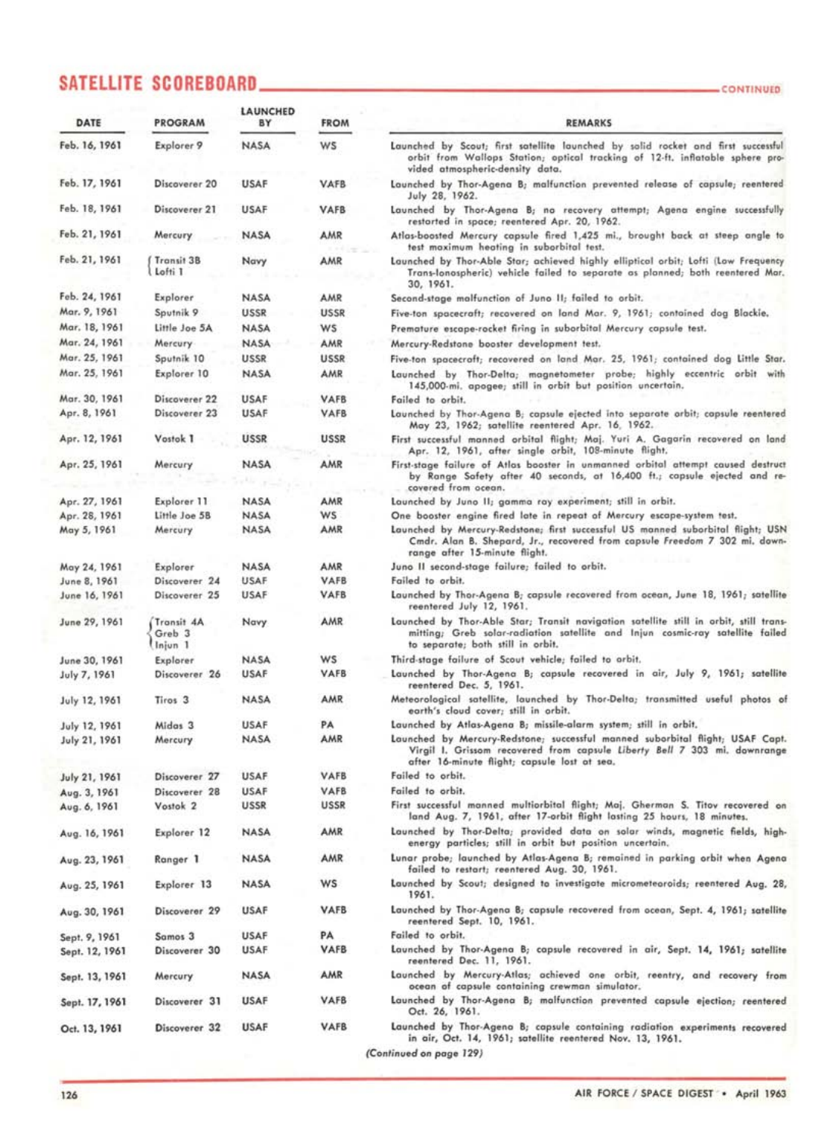# SATELLITE SCOREBOARD **\_\_\_\_\_\_\_\_\_\_\_\_\_\_\_\_\_\_\_\_\_\_\_\_\_**

| DATE           | <b>PROGRAM</b>                             | <b>LAUNCHED</b><br>BY | <b>FROM</b> | <b>REMARKS</b>                                                                                                                                                                                              |
|----------------|--------------------------------------------|-----------------------|-------------|-------------------------------------------------------------------------------------------------------------------------------------------------------------------------------------------------------------|
| Feb. 16, 1961  | Explorer 9                                 | <b>NASA</b>           | ws          | Launched by Scout; first satellite launched by solid rocket and first successful<br>orbit from Wallops Station; optical tracking of 12-ft. inflatable sphere pro-<br>vided atmospheric-density data.        |
| Feb. 17, 1961  | Discoverer 20                              | <b>USAF</b>           | VAFB        | Launched by Thor-Agena B; malfunction prevented release of capsule; reentered<br>July 28, 1962.                                                                                                             |
| Feb. 18, 1961  | Discoverer 21                              | <b>USAF</b>           | <b>VAFB</b> | Launched by Thor-Agena B; no recovery attempt; Agena engine successfully<br>restarted in space; reentered Apr. 20, 1962.                                                                                    |
| Feb. 21, 1961  | Mercury                                    | <b>NASA</b>           | AMR         | Atlas-boosted Mercury capsule fired 1,425 mi., brought back at steep angle to<br>test maximum heating in suborbital test.                                                                                   |
| Feb. 21, 1961  | Transit 3B<br>Lofti 1                      | Navy                  | AMR         | Launched by Thor-Able Star; achieved highly elliptical orbit; Lofti (Low Frequency<br>Trans-lonospheric) vehicle failed to separate as planned; both reentered Mar.<br>30, 1961.                            |
| Feb. 24, 1961  | Explorer                                   | <b>NASA</b>           | AMR         | Second-stage malfunction of Juno II; failed to orbit.                                                                                                                                                       |
| Mar. 9, 1961   | Sputnik 9                                  | <b>USSR</b>           | <b>USSR</b> | Five-ton spacecraft; recovered on land Mar. 9, 1961; contained dag Blackie.                                                                                                                                 |
| Mar. 18, 1961  | Little Joe 5A                              | <b>NASA</b>           | W5          | Premature escape-rocket firing in suborbital Mercury capsule test.                                                                                                                                          |
| Mar. 24, 1961  | Mercury                                    | <b>NASA</b>           | AMR         | Mercury-Redstone booster development test.                                                                                                                                                                  |
| Mar. 25, 1961  | Sputnik 10                                 | <b>USSR</b>           | <b>USSR</b> | Five-ton spacecraft; recovered on land Mar. 25, 1961; contained dog Little Star.                                                                                                                            |
| Mar. 25, 1961  | Explorer 10                                | <b>NASA</b>           | AMR         | Launched by Thor-Delta; magnetometer probe; highly eccentric orbit with<br>145,000-mi. apogee; still in orbit but position uncertain.                                                                       |
| Mar. 30, 1961  | Discoverer 22                              | <b>USAF</b>           | <b>VAFB</b> | Failed to orbit.                                                                                                                                                                                            |
| Apr. 8, 1961   | Discoverer 23                              | USAF                  | <b>VAFB</b> | Launched by Thor-Agena B; capsule ejected into separate orbit; capsule reentered<br>May 23, 1962; satellite reentered Apr. 16, 1962.                                                                        |
| Apr. 12, 1961  | Vostok 1                                   | <b>USSR</b>           | <b>USSR</b> | First successful manned orbital flight; Maj. Yuri A. Gagarin recovered on land<br>Apr. 12, 1961, after single orbit, 108-minute flight.                                                                     |
| Apr. 25, 1961  | Mercury                                    | <b>NASA</b>           | AMR         | First-stage failure of Atlas booster in unmanned orbital attempt caused destruct<br>by Range Safety after 40 seconds, at 16,400 ft.; capsule ejected and re-<br>covered from ocean.                         |
| Apr. 27, 1961  | Explorer 11                                | <b>NASA</b>           | AMR         | Launched by Juno II; gamma ray experiment; still in orbit.                                                                                                                                                  |
| Apr. 28, 1961  | Little Joe 5B                              | <b>NASA</b>           | <b>WS</b>   | One booster engine fired late in repeat of Mercury escape-system test.                                                                                                                                      |
| May 5, 1961    | Mercury                                    | <b>NASA</b>           | AMR         | Launched by Mercury-Redstone; first successful US manned suborbital flight; USN<br>Cmdr. Alan B. Shepard, Jr., recovered from capsule Freedom 7 302 mi, down-<br>range after 15-minute flight.              |
| May 24, 1961   | Explorer                                   | NASA                  | AMR         | Juno II second-stage failure; failed to orbit.                                                                                                                                                              |
| June 8, 1961   | Discoverer 24                              | USAF                  | VAFB        | Failed to orbit.                                                                                                                                                                                            |
| June 16, 1961  | Discoverer 25                              | USAF                  | VAFB        | Launched by Thor-Agena B; capsule recovered from ocean, June 18, 1961; satellite<br>reentered July 12, 1961.                                                                                                |
| June 29, 1961  | Transit 4A<br>Greb <sub>3</sub><br>Injun 1 | Navy                  | AMR         | Launched by Thor-Able Star; Transit navigation satellite still in orbit, still trans-<br>mitting; Greb solar-radiation satellite and Injun cosmic-ray satellite failed<br>to separate; both still in orbit. |
| June 30, 1961  | Explorer                                   | <b>NASA</b>           | ws          | Third-stage failure of Scout vehicle; failed to orbit.                                                                                                                                                      |
| July 7, 1961   | Discoverer 26                              | <b>USAF</b>           | <b>VAFB</b> | Launched by Thor-Agena B; capsule recovered in air, July 9, 1961; satellite<br>reentered Dec. 5, 1961.                                                                                                      |
| July 12, 1961  | Tiros <sub>3</sub>                         | <b>NASA</b>           | AMR         | Meteorological satellite, launched by Thor-Delta; transmitted useful photos of<br>earth's cloud cover; still in orbit.                                                                                      |
| July 12, 1961  | Midas <sub>3</sub>                         | <b>USAF</b>           | PA          | Launched by Atlas-Agena B; missile-alarm system; still in orbit.                                                                                                                                            |
| July 21, 1961  | Mercury                                    | <b>NASA</b>           | AMR         | Launched by Mercury-Redstone; successful manned suborbital flight; USAF Capt.<br>Virgil I. Grissom recovered from capsule Liberty Bell 7 303 mi. downrange<br>after 16-minute flight; capsule lost at sea.  |
| July 21, 1961  | Discoverer 27                              | USAF                  | VAFB        | Failed to orbit.                                                                                                                                                                                            |
| Aug. 3, 1961   | Discoverer 28                              | <b>USAF</b>           | <b>VAFB</b> | Failed to orbit.                                                                                                                                                                                            |
| Aug. 6, 1961   | Vostok <sub>2</sub>                        | <b>USSR</b>           | <b>USSR</b> | First successful manned multiorbital flight; Maj. Gherman S. Titov recovered on<br>land Aug. 7, 1961, after 17-orbit flight lasting 25 hours, 18 minutes.                                                   |
| Aug. 16, 1961  | Explorer 12                                | <b>NASA</b>           | AMR         | Launched by Thor-Delta; provided data on solar winds, magnetic fields, high-<br>energy particles; still in orbit but position uncertain.                                                                    |
| Aug. 23, 1961  | Ranger 1                                   | <b>NASA</b>           | AMR         | Lunar probe; launched by Atlas-Agena B; remained in parking orbit when Agena<br>failed to restart; reentered Aug. 30, 1961.                                                                                 |
| Aug. 25, 1961  | Explorer 13                                | <b>NASA</b>           | ws          | Launched by Scout; designed to investigate micrometeoroids; reentered Aug. 28,<br>1961.                                                                                                                     |
| Aug. 30, 1961  | Discoverer 29                              | <b>USAF</b>           | <b>VAFB</b> | Launched by Thor-Agena B; capsule recovered from ocean, Sept. 4, 1961; satellite<br>reentered Sept. 10, 1961.                                                                                               |
| Sept. 9, 1961  | Samos 3                                    | <b>USAF</b>           | PA          | Failed to orbit.                                                                                                                                                                                            |
| Sept. 12, 1961 | Discoverer 30                              | <b>USAF</b>           | <b>VAFB</b> | Launched by Thor-Agena B; capsule recovered in air, Sept. 14, 1961; satellite<br>reentered Dec. 11, 1961.                                                                                                   |
| Sept. 13, 1961 | Mercury                                    | NASA                  | AMR         | Launched by Mercury-Atlas; achieved one orbit, reentry, and recovery from<br>ocean of capsule containing crewman simulator.                                                                                 |
| Sept. 17, 1961 | Discoverer 31                              | <b>USAF</b>           | <b>VAFB</b> | Launched by Thor-Agena B; malfunction prevented capsule ejection; reentered<br>Oct. 26, 1961.                                                                                                               |
| Oct. 13, 1961  | Discoverer 32                              | <b>USAF</b>           | <b>VAFB</b> | Launched by Thor-Agena B; capsule containing radiation experiments recovered<br>in air, Oct. 14, 1961; satellite reentered Nov. 13, 1961.                                                                   |

**(Continued on page 129)** 

**CONTINUED**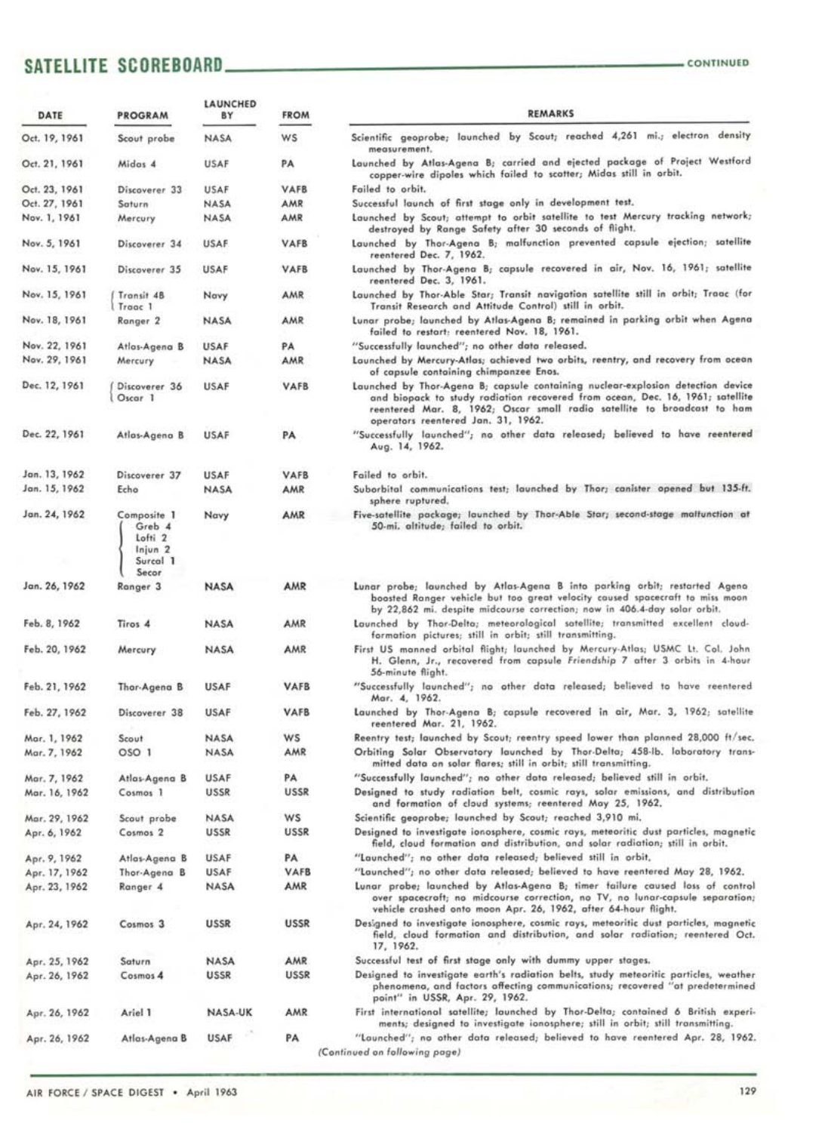## SATELLITE SCOREBOARD **CONTINUED** CONTINUED

| DATE          | <b>PROGRAM</b>                                                                         | LAUNCHED<br>BY | <b>FROM</b> | <b>REMARKS</b>                                                                                                                                                                                                                                                                    |
|---------------|----------------------------------------------------------------------------------------|----------------|-------------|-----------------------------------------------------------------------------------------------------------------------------------------------------------------------------------------------------------------------------------------------------------------------------------|
| Oct. 19, 1961 | Scout probe                                                                            | <b>NASA</b>    | ws          | Scientific geoprobe; launched by Scout; reached 4,261 mi.; electron density<br>measurement.                                                                                                                                                                                       |
| Oct. 21, 1961 | Midas 4                                                                                | <b>USAF</b>    | PA          | Launched by Atlas-Agena B; carried and ejected package of Project Westford<br>copper-wire dipoles which failed to scatter; Midas still in orbit.                                                                                                                                  |
| Oct. 23, 1961 | Discoverer 33                                                                          | <b>USAF</b>    | <b>VAFB</b> | Failed to orbit.                                                                                                                                                                                                                                                                  |
| Oct. 27, 1961 | Saturn                                                                                 | NASA           | AMR         | Successful launch of first stage only in development test.                                                                                                                                                                                                                        |
| Nov. 1, 1961  | Mercury                                                                                | NASA           | AMR         | Launched by Scout; attempt to orbit satellite to test Mercury tracking network;<br>destroyed by Range Safety after 30 seconds of flight.                                                                                                                                          |
| Nov. 5, 1961  | Discoverer 34                                                                          | <b>USAF</b>    | VAFB        | Launched by Thor-Agena B; malfunction prevented capsule ejection; satellite<br>reentered Dec. 7, 1962.                                                                                                                                                                            |
| Nov. 15, 1961 | Discoverer 35                                                                          | USAF           | <b>VAFB</b> | Launched by Thor-Agena B; capsule recovered in air, Nov. 16, 1961; satellite<br>reentered Dec. 3, 1961.                                                                                                                                                                           |
| Nov. 15, 1961 | Transit 4B<br>Traac 1                                                                  | Navy           | AMR         | Launched by Thor-Able Star; Transit navigation satellite still in orbit; Traac (for<br>Transit Research and Attitude Control) still in orbit.                                                                                                                                     |
| Nov. 18, 1961 | Ranger <sub>2</sub>                                                                    | NASA           | AMR         | Lunar probe; launched by Atlas-Agena B; remained in parking orbit when Agena<br>failed to restart: reentered Nov. 18, 1961.                                                                                                                                                       |
| Nov. 22, 1961 | Atlas-Agena B                                                                          | <b>USAF</b>    | PA          | "Successfully launched"; no other data released.                                                                                                                                                                                                                                  |
| Nov. 29, 1961 | Mercury                                                                                | <b>NASA</b>    | AMR         | Launched by Mercury-Atlas; achieved two orbits, reentry, and recovery from ocean<br>of capsule containing chimpanzee Enos.                                                                                                                                                        |
| Dec. 12, 1961 | Discoverer 36<br>Oscar 1                                                               | USAF           | <b>VAFB</b> | Launched by Thor-Agena B; capsule containing nuclear-explosion detection device<br>and biopack to study radiation recovered from ocean, Dec. 16, 1961; satellite<br>reentered Mar. 8, 1962; Oscar small radio satellite to broadcast to ham<br>operators reentered Jan. 31, 1962. |
| Dec. 22, 1961 | Atlas-Agena B                                                                          | <b>USAF</b>    | PA          | "Successfully launched"; no other data released; believed to have reentered<br>Aug. 14, 1962.                                                                                                                                                                                     |
| Jan. 13, 1962 | Discoverer 37                                                                          | USAF           | <b>VAFB</b> | Failed to orbit.                                                                                                                                                                                                                                                                  |
| Jan. 15, 1962 | Echo                                                                                   | NASA           | AMR         | Suborbital communications test; launched by Thor; canister opened but 135-ft.<br>sphere ruptured.                                                                                                                                                                                 |
| Jan. 24, 1962 | Composite 1<br>Greb 4<br>Lofti <sub>2</sub><br>Injun <sub>2</sub><br>Surcal 1<br>Secor | Navy           | AMR         | Five-satellite package; launched by Thor-Able Star; second-stage maltunction at<br>50-mi. altitude; failed to orbit.                                                                                                                                                              |
| Jan. 26, 1962 | Ranger 3                                                                               | <b>NASA</b>    | AMR         | Lunar probe; launched by Atlas-Agena B into parking orbit; restarted Ageno<br>boosted Ranger vehicle but too great velocity caused spacecraft to miss moon<br>by 22,862 mi. despite midcourse correction; now in 406.4-day solar orbit.                                           |
| Feb. 8, 1962  | Tiros <sub>4</sub>                                                                     | NASA           | AMR         | Launched by Thor-Delta; meteorological satellite; transmitted excellent cloud-<br>formation pictures; still in orbit; still transmitting.                                                                                                                                         |
| Feb. 20, 1962 | Mercury                                                                                | NASA           | AMR         | First US manned orbital flight; launched by Mercury-Atlas; USMC Lt. Col. John<br>H. Glenn, Jr., recovered from capsule Friendship 7 after 3 orbits in 4-hour<br>56-minute flight.                                                                                                 |
| Feb. 21, 1962 | Thor-Agena B                                                                           | <b>USAF</b>    | <b>VAFB</b> | "Successfully launched"; no other data released; believed to have reentered<br>Mar. 4, 1962.                                                                                                                                                                                      |
| Feb. 27, 1962 | Discoverer 38                                                                          | USAF           | VAFB        | Launched by Thor-Agena B; capsule recovered in air, Mar. 3, 1962; satellite<br>reentered Mar. 21, 1962.                                                                                                                                                                           |
| Mar. 1, 1962  | Scout                                                                                  | NASA           | WS          | Reentry test; launched by Scout; reentry speed lower than planned 28,000 ft/sec.                                                                                                                                                                                                  |
| Mar. 7, 1962  | OSO <sub>1</sub>                                                                       | <b>NASA</b>    | AMR         | Orbiting Solar Observatory launched by Thor-Delta; 458-lb. laboratory trans-<br>mitted data on solar flares; still in orbit; still transmitting.                                                                                                                                  |
| Mar. 7, 1962  | Atlas-Agena B                                                                          | USAF           | PA          | "Successfully launched"; no other data released; believed still in orbit.                                                                                                                                                                                                         |
| Mar. 16, 1962 | Cosmos 1                                                                               | <b>USSR</b>    | USSR        | Designed to study radiation belt, cosmic rays, solar emissions, and distribution<br>and formation of cloud systems; reentered May 25, 1962.                                                                                                                                       |
| Mar. 29, 1962 | Scout probe                                                                            | <b>NASA</b>    | ws          | Scientific geoprobe; launched by Scout; reached 3,910 mi.                                                                                                                                                                                                                         |
| Apr. 6, 1962  | Cosmos 2                                                                               | USSR           | <b>USSR</b> | Designed to investigate ionosphere, cosmic rays, meteoritic dust particles, magnetic<br>field, cloud formation and distribution, and solar radiation; still in orbit.                                                                                                             |
| Apr. 9, 1962  | Atlas-Agena B                                                                          | USAF           | PA          | "Launched"; no other data released; believed still in orbit,                                                                                                                                                                                                                      |
| Apr. 17, 1962 | Thor-Agena B                                                                           | <b>USAF</b>    | <b>VAFB</b> | "Launched"; no other data released; believed to have reentered May 28, 1962.                                                                                                                                                                                                      |
| Apr. 23, 1962 | Ranger 4                                                                               | NASA           | AMR         | Lunar probe; launched by Atlas-Agena B; timer failure caused loss of control<br>over spacecraft; no midcourse correction, no TV, no lunar-capsule separation;<br>vehicle crashed onto moon Apr. 26, 1962, after 64-hour flight.                                                   |
| Apr. 24, 1962 | Cosmos 3                                                                               | <b>USSR</b>    | USSR        | Designed to investigate ionosphere, cosmic rays, meteoritic dust particles, magnetic<br>field, cloud formation and distribution, and solar radiation; reentered Oct.<br>17, 1962.                                                                                                 |
| Apr. 25, 1962 | Saturn                                                                                 | NASA           | AMR         | Successful test of first stage only with dummy upper stages.                                                                                                                                                                                                                      |
| Apr. 26, 1962 | Cosmos 4                                                                               | <b>USSR</b>    | <b>USSR</b> | Designed to investigate earth's radiation belts, study meteoritic particles, weather<br>phenomena, and factors offecting communications; recovered "at predetermined<br>point" in USSR, Apr. 29, 1962.                                                                            |
| Apr. 26, 1962 | Ariel 1                                                                                | NASA-UK        | AMR.        | First international satellite; launched by Thor-Delta; contained 6 British experi-<br>ments; designed to investigate ionosphere; still in orbit; still transmitting.                                                                                                              |
| Apr. 26, 1962 | Atlas-Agena B                                                                          | <b>USAF</b>    | PA          | "Launched"; no other data released; believed to have reentered Apr. 28, 1962.<br>(Continued on following page)                                                                                                                                                                    |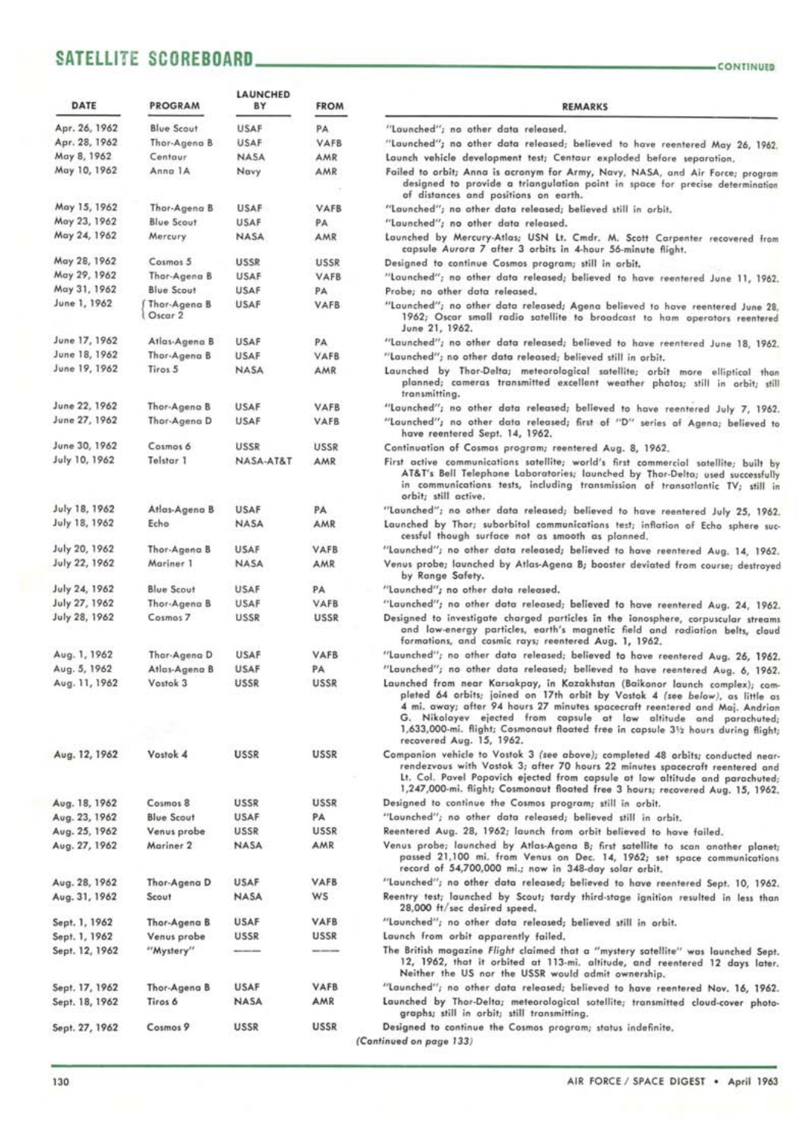### **SATELLITE SCOREBOARD**

| DATE           | PROGRAM                 | LAUNCHED<br>BY | <b>FROM</b> | <b>REMARKS</b>                                                                                                                                                                                                                                                                                                                                                                                                                 |
|----------------|-------------------------|----------------|-------------|--------------------------------------------------------------------------------------------------------------------------------------------------------------------------------------------------------------------------------------------------------------------------------------------------------------------------------------------------------------------------------------------------------------------------------|
| Apr. 26, 1962  | <b>Blue Scout</b>       | <b>USAF</b>    | PA          | "Launched"; no other data released.                                                                                                                                                                                                                                                                                                                                                                                            |
| Apr. 28, 1962  | Thor-Agena B            | USAF           | VAFB        | "Launched"; no other data released; believed to have reentered May 26, 1962.                                                                                                                                                                                                                                                                                                                                                   |
| May 8, 1962    | Centaur                 | NASA           | AMR         | Launch vehicle development test; Centaur exploded before separation,                                                                                                                                                                                                                                                                                                                                                           |
| May 10, 1962   | Anna 1A                 | Navy           | AMR         | Failed to orbit; Anna is acronym for Army, Navy, NASA, and Air Force; program<br>designed to provide a triangulation point in space for precise determination<br>of distances and positions on earth.                                                                                                                                                                                                                          |
| May 15, 1962   | Thor-Agena B            | <b>USAF</b>    | <b>VAFB</b> | "Launched"; no other data released; believed still in orbit.                                                                                                                                                                                                                                                                                                                                                                   |
| May 23, 1962   | <b>Blue Scout</b>       | USAF           | PA          | "Launched"; no other data released.                                                                                                                                                                                                                                                                                                                                                                                            |
| May 24, 1962   | Mercury                 | NASA           | AMR         | Launched by Mercury-Atlas; USN Lt. Cmdr. M. Scott Carpenter recovered from<br>capsule Aurora 7 after 3 orbits in 4-hour 56-minute flight.                                                                                                                                                                                                                                                                                      |
| May 28, 1962   | Cosmos 5                | USSR           | <b>USSR</b> | Designed to continue Cosmos program; still in orbit.                                                                                                                                                                                                                                                                                                                                                                           |
| May 29, 1962   | Thor-Agena B            | USAF           | VAFB        | "Launched"; no other data released; believed to have reentered June 11, 1962.                                                                                                                                                                                                                                                                                                                                                  |
| May 31, 1962   | <b>Blue Scout</b>       | USAF           | PA          | Probe; no other data released.                                                                                                                                                                                                                                                                                                                                                                                                 |
| June 1, 1962   | Thor-Agena B<br>Oscar 2 | <b>USAF</b>    | VAFB        | "Launched"; no other data released; Agena believed to have reentered June 28,<br>1962; Oscar small radio satellite to broadcast to ham operators reentered<br>June 21, 1962.                                                                                                                                                                                                                                                   |
| June 17, 1962  | Atlas-Agena B           | <b>USAF</b>    | PA.         | "Launched"; no other data released; believed to have reentered June 18, 1962.                                                                                                                                                                                                                                                                                                                                                  |
| June 18, 1962  | Thor-Agena B            | <b>USAF</b>    | VAFB        | "Launched"; no other data released; believed still in orbit.                                                                                                                                                                                                                                                                                                                                                                   |
| June 19, 1962  | Tiros 5                 | <b>NASA</b>    | AMR         | Launched by Thor-Delta; meteorological satellite; orbit more elliptical than<br>planned; cameras transmitted excellent weather photos; still in orbit; still<br>transmitting.                                                                                                                                                                                                                                                  |
| June 22, 1962  | Thor-Agena B            | <b>USAF</b>    | VAFB        | "Launched"; no other data released; believed to have reentered July 7, 1962.                                                                                                                                                                                                                                                                                                                                                   |
| June 27, 1962  | Thor-Agena D            | <b>USAF</b>    | VAFB        | "Launched"; no other data released; first of "D" series of Agena; believed to<br>have reentered Sept. 14, 1962.                                                                                                                                                                                                                                                                                                                |
| June 30, 1962  | Cosmos 6                | USSR           | USSR        | Continuation of Cosmos program; reentered Aug. 8, 1962.                                                                                                                                                                                                                                                                                                                                                                        |
| July 10, 1962  | Telstar 1               | NASA-AT&T      | AMR         | First active communications satellite; world's first commercial satellite; built by<br>AT&T's Bell Telephone Laboratories; launched by Thor-Delta; used successfully<br>in communications tests, including transmission of transatlantic TV; still in<br>orbit; still active.                                                                                                                                                  |
| July 18, 1962  | Atlas-Agena B           | <b>USAF</b>    | PA.         | "Launched"; no other data released; believed to have reentered July 25, 1962.                                                                                                                                                                                                                                                                                                                                                  |
| July 18, 1962  | Echo                    | <b>NASA</b>    | AMR         | Launched by Thor; suborbital communications test; inflation of Echo sphere suc-<br>cessful though surface not as smooth as planned.                                                                                                                                                                                                                                                                                            |
| July 20, 1962  | Thor-Agena B            | <b>USAF</b>    | VAFB        | "Launched"; no other data released; believed to have reentered Aug. 14, 1962.                                                                                                                                                                                                                                                                                                                                                  |
| July 22, 1962  | Mariner 1               | NASA           | AMR         | Venus probe; launched by Atlas-Agena B; booster deviated from course; destroyed<br>by Range Safety.                                                                                                                                                                                                                                                                                                                            |
| July 24, 1962  | <b>Blue Scout</b>       | <b>USAF</b>    | PA          | "Launched"; no other data released.                                                                                                                                                                                                                                                                                                                                                                                            |
| July 27, 1962  | Thor-Agena B            | <b>USAF</b>    | VAFB        | "Launched"; no other data released; believed to have reentered Aug. 24, 1962.                                                                                                                                                                                                                                                                                                                                                  |
| July 28, 1962  | Cosmos 7                | USSR           | USSR        | Designed to investigate charged particles in the ionosphere, corpuscular streams<br>and low-energy particles, earth's magnetic field and radiation belts, cloud<br>formations, and cosmic rays; reentered Aug. 1, 1962.                                                                                                                                                                                                        |
| Aug. 1, 1962   | Thor-Agena D            | USAF           | <b>VAFB</b> | "Launched"; no other data released; believed to have reentered Aug. 26, 1962.                                                                                                                                                                                                                                                                                                                                                  |
| Aug. 5, 1962   | Atlas-Agena B           | USAF           | PA          | "Launched"; no other data released; believed to have reentered Aug. 6, 1962.                                                                                                                                                                                                                                                                                                                                                   |
| Aug. 11, 1962  | Vostok 3                | <b>USSR</b>    | <b>USSR</b> | Launched from near Karsakpay, in Kazakhstan (Baikonor launch complex); com-<br>pleted 64 orbits; joined on 17th orbit by Vostok 4 (see below), as little as<br>4 mi. away; after 94 hours 27 minutes spacecraft reentered and Maj. Andrian<br>G. Nikolayev ejected from capsule at low altitude and parachuted;<br>1,633,000-mi. flight; Cosmonaut floated free in capsule 3½ hours during flight;<br>recovered Aug. 15, 1962. |
| Aug. 12, 1962  | Vostok 4                | <b>USSR</b>    | USSR        | Companion vehicle to Vostok 3 (see above); completed 48 orbits; conducted near-<br>rendezvous with Vostok 3; after 70 hours 22 minutes spacecraft reentered and<br>Lt. Col. Pavel Popovich ejected from capsule at low altitude and parachuted;<br>1,247,000-mi. flight; Cosmonaut floated free 3 hours; recovered Aug. 15, 1962.                                                                                              |
| Aug. 18, 1962  | Cosmos 8                | USSR           | <b>USSR</b> | Designed to continue the Cosmos program; still in orbit.                                                                                                                                                                                                                                                                                                                                                                       |
| Aug. 23, 1962  | <b>Blue Scout</b>       | <b>USAF</b>    | PA          | "Launched"; no other data released; believed still in orbit.                                                                                                                                                                                                                                                                                                                                                                   |
| Aug. 25, 1962  | Venus probe             | USSR           | USSR        | Reentered Aug. 28, 1962; launch from orbit believed to have failed.                                                                                                                                                                                                                                                                                                                                                            |
| Aug. 27, 1962  | Mariner <sub>2</sub>    | NASA           | AMR         | Venus probe; launched by Atlas-Agena B; first satellite to scan another planet;<br>passed 21,100 mi. from Venus on Dec. 14, 1962; set space communications<br>record of 54,700,000 mi.; now in 348-day solar orbit.                                                                                                                                                                                                            |
| Aug. 28, 1962  | Thor-Agena D            | USAF           | <b>VAFB</b> | "Launched"; no other data released; believed to have reentered Sept. 10, 1962.                                                                                                                                                                                                                                                                                                                                                 |
| Aug. 31, 1962  | Scout                   | NASA           | ws          | Reentry test; launched by Scout; tardy third-stage ignition resulted in less than<br>28,000 ft/sec desired speed.                                                                                                                                                                                                                                                                                                              |
| Sept. 1, 1962  | Thor-Agena B            | <b>USAF</b>    | VAFB        | "Launched"; no other data released; believed still in orbit.                                                                                                                                                                                                                                                                                                                                                                   |
| Sept. 1, 1962  | Venus probe             | USSR           | USSR        | Launch from orbit apparently failed,                                                                                                                                                                                                                                                                                                                                                                                           |
| Sept. 12, 1962 | "Mystery"               |                |             | The British magazine Flight claimed that a "mystery satellite" was launched Sept.<br>12, 1962, that it orbited at 113-mi. altitude, and reentered 12 days later.<br>Neither the US nor the USSR would admit ownership.                                                                                                                                                                                                         |
| Sept. 17, 1962 | Thor-Agena B            | USAF           | VAFB        | "Launched"; no other data released; believed to have reentered Nov. 16, 1962.                                                                                                                                                                                                                                                                                                                                                  |
| Sept. 18, 1962 | Tiros 6                 | <b>NASA</b>    | AMR         | Launched by Thor-Delta; meteorological satellite; transmitted cloud-cover photo-<br>graphs; still in orbit; still transmitting.                                                                                                                                                                                                                                                                                                |
| Sept. 27, 1962 | Cosmos 9                | USSR           | <b>USSR</b> | Designed to continue the Cosmos program; status indefinite,<br>(Continued on page 133)                                                                                                                                                                                                                                                                                                                                         |

| DATE           | PROGRAM                 | <b>LAUNCHED</b><br>BY | <b>FROM</b>        | <b>REMARKS</b>                                                                                                                                                                                                                                                                                                                                                                                                                  |
|----------------|-------------------------|-----------------------|--------------------|---------------------------------------------------------------------------------------------------------------------------------------------------------------------------------------------------------------------------------------------------------------------------------------------------------------------------------------------------------------------------------------------------------------------------------|
| Apr. 26, 1962  | <b>Blue Scout</b>       | <b>USAF</b>           | PA                 | "Launched"; no other data released.                                                                                                                                                                                                                                                                                                                                                                                             |
| Apr. 28, 1962  | Thor-Agena B            | USAF                  | VAFB               | "Launched"; no other data released; believed to have reentered May 26, 1962.                                                                                                                                                                                                                                                                                                                                                    |
| May 8, 1962    | Centaur                 | NASA                  | AMR                | Launch vehicle development test; Centaur exploded before separation,                                                                                                                                                                                                                                                                                                                                                            |
| May 10, 1962   | Anna 1A                 | Navy                  | AMR                | Failed to orbit; Anna is acronym for Army, Navy, NASA, and Air Force; program<br>designed to provide a triangulation point in space for precise determination<br>of distances and positions on earth.                                                                                                                                                                                                                           |
| May 15, 1962   | Thor-Agena B            | <b>USAF</b>           | <b>VAFB</b>        | "Launched"; no other data released; believed still in orbit.                                                                                                                                                                                                                                                                                                                                                                    |
| May 23, 1962   | <b>Blue Scout</b>       | USAF                  | PA                 | "Launched"; no other data released.                                                                                                                                                                                                                                                                                                                                                                                             |
| May 24, 1962   | Mercury                 | NASA                  | AMR                | Launched by Mercury-Atlas; USN Lt. Cmdr. M. Scott Carpenter recovered from<br>capsule Aurora 7 after 3 orbits in 4-hour 56-minute flight.                                                                                                                                                                                                                                                                                       |
| May 28, 1962   | Cosmos 5                | USSR                  | <b>USSR</b>        | Designed to continue Cosmos program; still in orbit.                                                                                                                                                                                                                                                                                                                                                                            |
| May 29, 1962   | Thor-Agena B            | USAF                  | VAFB               | "Launched"; no other data released; believed to have reentered June 11, 1962.                                                                                                                                                                                                                                                                                                                                                   |
| May 31, 1962   | <b>Blue Scout</b>       | USAF                  | PA                 | Probe; no other data released.                                                                                                                                                                                                                                                                                                                                                                                                  |
| June 1, 1962   | Thor-Agena B<br>Oscar 2 | <b>USAF</b>           | VAFB               | "Launched"; no other data released; Agena believed to have reentered June 28,<br>1962; Oscar small radio satellite to broadcast to ham operators reentered<br>June 21, 1962.                                                                                                                                                                                                                                                    |
| June 17, 1962  | Atlas-Agena B           | <b>USAF</b>           | PA                 | "Launched"; no other data released; believed to have reentered June 18, 1962.                                                                                                                                                                                                                                                                                                                                                   |
| June 18, 1962  | Thor-Agena B            | <b>USAF</b>           | VAFB               | "Launched"; no other data released; believed still in orbit.                                                                                                                                                                                                                                                                                                                                                                    |
| June 19, 1962  | Tiros 5                 | <b>NASA</b>           | AMR                | Launched by Thor-Delta; meteorological satellite; orbit more elliptical than<br>planned; cameras transmitted excellent weather photos; still in orbit; still<br>transmitting.                                                                                                                                                                                                                                                   |
| June 22, 1962  | Thor-Agena B            | USAF                  | VAFB               | "Launched"; no other data released; believed to have reentered July 7, 1962.                                                                                                                                                                                                                                                                                                                                                    |
| June 27, 1962  | Thor-Agena D            | <b>USAF</b>           | VAFB               | "Launched"; no other data released; first of "D" series of Agena; believed to<br>have reentered Sept. 14, 1962.                                                                                                                                                                                                                                                                                                                 |
| June 30, 1962  | Cosmos 6                | USSR                  | USSR               | Continuation of Cosmos program; reentered Aug. 8, 1962.                                                                                                                                                                                                                                                                                                                                                                         |
| July 10, 1962  | Telstar 1               | NASA-AT&T             | AMR                | First active communications satellite; world's first commercial satellite; built by<br>AT&T's Bell Telephone Laboratories; launched by Thor-Delta; used successfully<br>in communications tests, including transmission of transatlantic TV; still in<br>orbit; still active.                                                                                                                                                   |
| July 18, 1962  | Atlas-Agena B           | <b>USAF</b>           | PA.                | "Launched"; no other data released; believed to have reentered July 25, 1962.                                                                                                                                                                                                                                                                                                                                                   |
| July 18, 1962  | Echo                    | <b>NASA</b>           | AMR                | Launched by Thor; suborbital communications test; inflation of Echo sphere suc-<br>cessful though surface not as smooth as planned.                                                                                                                                                                                                                                                                                             |
| July 20, 1962  | Thor-Agena B            | <b>USAF</b>           | VAFB               | "Launched"; no other data released; believed to have reentered Aug. 14, 1962.                                                                                                                                                                                                                                                                                                                                                   |
| July 22, 1962  | Mariner 1               | NASA                  | AMR                | Venus probe; launched by Atlas-Agena B; booster deviated from course; destroyed<br>by Range Safety.                                                                                                                                                                                                                                                                                                                             |
| July 24, 1962  | <b>Blue Scout</b>       | <b>USAF</b>           | PA                 | "Launched"; no other data released.                                                                                                                                                                                                                                                                                                                                                                                             |
| July 27, 1962  | Thor-Agena B            | <b>USAF</b>           | VAFB               | "Launched"; no other data released; believed to have reentered Aug. 24, 1962.                                                                                                                                                                                                                                                                                                                                                   |
| July 28, 1962  | Cosmos 7                | USSR                  | USSR               | Designed to investigate charged particles in the ionosphere, corpuscular streams<br>and low-energy particles, earth's magnetic field and radiation belts, cloud<br>formations, and cosmic rays; reentered Aug. 1, 1962.                                                                                                                                                                                                         |
| Aug. 1, 1962   | Thor-Agena D            | USAF                  | VAFB               | "Launched"; no other data released; believed to have reentered Aug. 26, 1962.                                                                                                                                                                                                                                                                                                                                                   |
| Aug. 5, 1962.  | Atlas-Agena B           | USAF                  | PA                 | "Launched"; no other data released; believed to have reentered Aug. 6, 1962.                                                                                                                                                                                                                                                                                                                                                    |
| Aug. 11, 1962  | Vostok 3                | <b>USSR</b>           | <b>USSR</b>        | Launched from near Karsakpay, in Kazakhstan (Baikonor launch complex); com-<br>pleted 64 orbits; joined on 17th orbit by Vostok 4 (see below), as little as<br>4 mi. away; after 94 hours 27 minutes spacecraft reentered and Maj. Andrian<br>G. Nikolayev ejected from capsule at low altitude and parachuted;<br>1,633,000-mi. flight; Cosmonaut floated free in capsule 312 hours during flight;<br>recovered Aug. 15, 1962. |
| Aug. 12, 1962  | Vostok 4                | USSR                  | USSR               | Companion vehicle to Vostok 3 (see above); completed 48 orbits; conducted near-<br>rendezvous with Vostok 3; after 70 hours 22 minutes spacecraft reentered and<br>Lt. Col. Pavel Popovich ejected from capsule at low altitude and parachuted;<br>1,247,000-mi. flight; Cosmonaut floated free 3 hours; recovered Aug. 15, 1962.                                                                                               |
| Aug. 18, 1962  | Cosmos 8                | USSR                  | <b>USSR</b>        | Designed to continue the Cosmos program; still in orbit.                                                                                                                                                                                                                                                                                                                                                                        |
| Aug. 23, 1962  | <b>Blue Scout</b>       | <b>USAF</b>           | PA                 | "Launched"; no other data released; believed still in orbit.                                                                                                                                                                                                                                                                                                                                                                    |
| Aug. 25, 1962  | Venus probe             | USSR                  | <b>USSR</b>        | Reentered Aug. 28, 1962; launch from orbit believed to have failed.                                                                                                                                                                                                                                                                                                                                                             |
| Aug. 27, 1962  | Mariner <sub>2</sub>    | NASA                  | AMR                | Venus probe; launched by Atlas-Agena B; first satellite to scan another planet;<br>passed 21,100 mi. from Venus on Dec. 14, 1962; set space communications<br>record of 54,700,000 mi.; now in 348-day solar orbit.                                                                                                                                                                                                             |
| Aug. 28, 1962  | Thor-Agena D            | USAF                  | <b>VAFB</b>        | "Launched"; no other data released; believed to have reentered Sept. 10, 1962.                                                                                                                                                                                                                                                                                                                                                  |
| Aug. 31, 1962  | Scout                   | <b>NASA</b>           | WS                 | Reentry test; launched by Scout; tardy third-stage ignition resulted in less than<br>28,000 ft/sec desired speed.                                                                                                                                                                                                                                                                                                               |
| Sept. 1, 1962  | Thor-Agena B            | USAF                  | VAFB               | "Launched"; no other data released; believed still in orbit.                                                                                                                                                                                                                                                                                                                                                                    |
| Sept. 1, 1962  | Venus probe             | USSR                  | <b>USSR</b>        | Launch from orbit apparently failed,                                                                                                                                                                                                                                                                                                                                                                                            |
| Sept. 12, 1962 | "Mystery"               |                       | <b>BALLING AND</b> | The British magazine Flight claimed that a "mystery satellite" was launched Sept.<br>12, 1962, that it orbited at 113-mi. altitude, and reentered 12 days later.<br>Neither the US nor the USSR would admit ownership.                                                                                                                                                                                                          |
| Sept. 17, 1962 | Thor-Agena B            | USAF                  | <b>VAFB</b>        | "Launched"; no other data released; believed to have reentered Nov. 16, 1962.                                                                                                                                                                                                                                                                                                                                                   |
| $+ 10$         |                         | <b>NAC</b>            | <b>AAD</b>         |                                                                                                                                                                                                                                                                                                                                                                                                                                 |